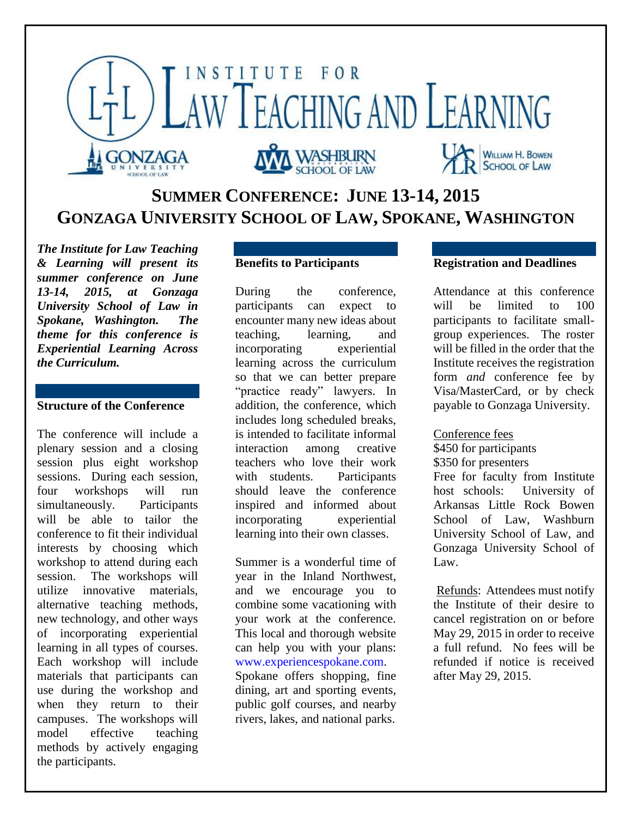

# **SUMMER CONFERENCE: JUNE 13-14, 2015 GONZAGA UNIVERSITY SCHOOL OF LAW, SPOKANE, WASHINGTON**

*The Institute for Law Teaching & Learning will present its summer conference on June 13-14, 2015, at Gonzaga University School of Law in Spokane, Washington. The theme for this conference is Experiential Learning Across the Curriculum.*

## **Structure of the Conference**

The conference will include a plenary session and a closing session plus eight workshop sessions. During each session, four workshops will run simultaneously. Participants will be able to tailor the conference to fit their individual interests by choosing which workshop to attend during each session. The workshops will utilize innovative materials, alternative teaching methods, new technology, and other ways of incorporating experiential learning in all types of courses. Each workshop will include materials that participants can use during the workshop and when they return to their campuses. The workshops will model effective teaching methods by actively engaging the participants.

## **Benefits to Participants**

During the conference, participants can expect to encounter many new ideas about teaching, learning, and incorporating experiential learning across the curriculum so that we can better prepare "practice ready" lawyers. In addition, the conference, which includes long scheduled breaks, is intended to facilitate informal interaction among creative teachers who love their work with students. Participants should leave the conference inspired and informed about incorporating experiential learning into their own classes.

Summer is a wonderful time of year in the Inland Northwest, and we encourage you to combine some vacationing with your work at the conference. This local and thorough website can help you with your plans: [www.experiencespokane.com.](http://www.experiencespokane.com/) Spokane offers shopping, fine dining, art and sporting events, public golf courses, and nearby rivers, lakes, and national parks.

## **Registration and Deadlines**

Attendance at this conference will be limited to 100 participants to facilitate smallgroup experiences. The roster will be filled in the order that the Institute receives the registration form *and* conference fee by Visa/MasterCard, or by check payable to Gonzaga University.

#### Conference fees

\$450 for participants \$350 for presenters Free for faculty from Institute host schools: University of Arkansas Little Rock Bowen School of Law, Washburn University School of Law, and Gonzaga University School of Law.

Refunds: Attendees must notify the Institute of their desire to cancel registration on or before May 29, 2015 in order to receive a full refund. No fees will be refunded if notice is received after May 29, 2015.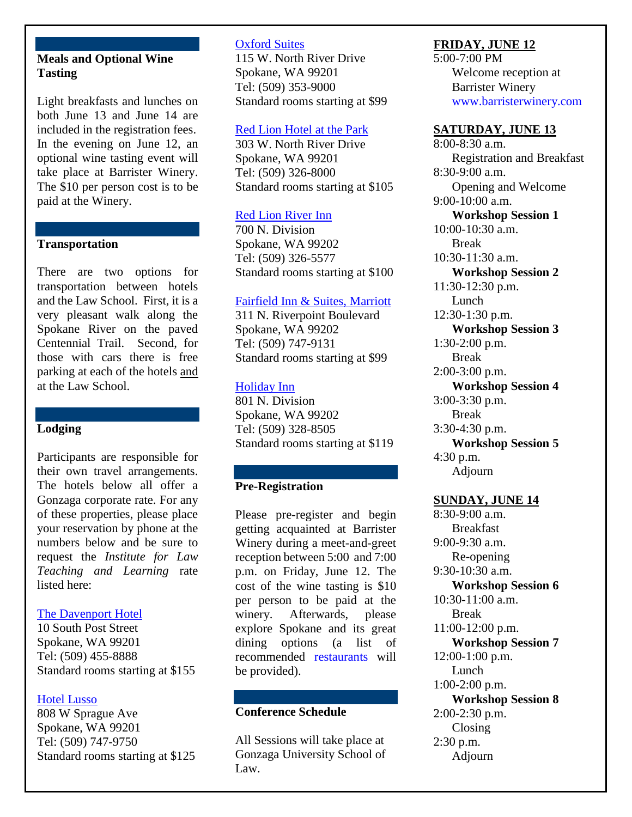### **Meals and Optional Wine Tasting**

Light breakfasts and lunches on both June 13 and June 14 are included in the registration fees. In the evening on June 12, an optional wine tasting event will take place at Barrister Winery. The \$10 per person cost is to be paid at the Winery.

#### **Transportation**

There are two options for transportation between hotels and the Law School. First, it is a very pleasant walk along the Spokane River on the paved Centennial Trail. Second, for those with cars there is free parking at each of the hotels and at the Law School.

### **Lodging**

Participants are responsible for their own travel arrangements. The hotels below all offer a Gonzaga corporate rate. For any of these properties, please place your reservation by phone at the numbers below and be sure to request the *Institute for Law Teaching and Learning* rate listed here:

### [The Davenport Hotel](http://www.thedavenporthotel.com/)

10 South Post Street Spokane, WA 99201 Tel: (509) 455-8888 Standard rooms starting at \$155

### [Hotel Lusso](http://www.davenporthotelcollection.com/our-hotels/hotel-lusso/)

808 W Sprague Ave Spokane, WA 99201 Tel: (509) 747-9750 Standard rooms starting at \$125

#### [Oxford Suites](http://www.oxfordsuitesspokane.com/)

115 W. North River Drive Spokane, WA 99201 Tel: (509) 353-9000 Standard rooms starting at \$99

#### [Red Lion Hotel at the Park](http://www.spokaneredlionpark.com/)

303 W. North River Drive Spokane, WA 99201 Tel: (509) 326-8000 Standard rooms starting at \$105

#### [Red Lion River Inn](http://redlion.rdln.com/HotelLocator/HotelOverview.aspx?metaID=62)

700 N. Division Spokane, WA 99202 Tel: (509) 326-5577 Standard rooms starting at \$100

#### [Fairfield Inn & Suites, Marriott](http://www.marriott.com/hotels/maps/travel/gegfi-fairfield-inn-and-suites-spokane-downtown/)

311 N. Riverpoint Boulevard Spokane, WA 99202 Tel: (509) 747-9131 Standard rooms starting at \$99

#### [Holiday Inn](http://www.ihg.com/holidayinnexpress/hotels/us/en/spokane/skaex/hoteldetail)

801 N. Division Spokane, WA 99202 Tel: (509) 328-8505 Standard rooms starting at \$119

### **Pre-Registration**

Please pre-register and begin getting acquainted at Barrister Winery during a meet-and-greet reception between 5:00 and 7:00 p.m. on Friday, June 12. The cost of the wine tasting is \$10 per person to be paid at the winery. Afterwards, please explore Spokane and its great dining options (a list of recommended [restaurants](http://www.gonzaga.edu/Admissions/Undergraduate-Admissions/Visit/Where-to-Eat.asp) will be provided).

## **Conference Schedule**

All Sessions will take place at Gonzaga University School of Law.

#### **FRIDAY, JUNE 12**

5:00-7:00 PM Welcome reception at Barrister Winery [www.barristerwinery.com](http://www.barristerwinery.com/)

#### **SATURDAY, JUNE 13**

8:00-8:30 a.m. Registration and Breakfast 8:30-9:00 a.m. Opening and Welcome 9:00-10:00 a.m. **Workshop Session 1** 10:00-10:30 a.m. Break  $10:30-11:30$  a.m. **Workshop Session 2** 11:30-12:30 p.m. Lunch 12:30-1:30 p.m. **Workshop Session 3** 1:30-2:00 p.m. Break 2:00-3:00 p.m. **Workshop Session 4** 3:00-3:30 p.m. Break 3:30-4:30 p.m. **Workshop Session 5** 4:30 p.m. Adjourn

### **SUNDAY, JUNE 14**

8:30-9:00 a.m. Breakfast 9:00-9:30 a.m. Re-opening 9:30-10:30 a.m. **Workshop Session 6** 10:30-11:00 a.m. Break 11:00-12:00 p.m. **Workshop Session 7** 12:00-1:00 p.m. Lunch 1:00-2:00 p.m. **Workshop Session 8** 2:00-2:30 p.m. Closing 2:30 p.m. Adjourn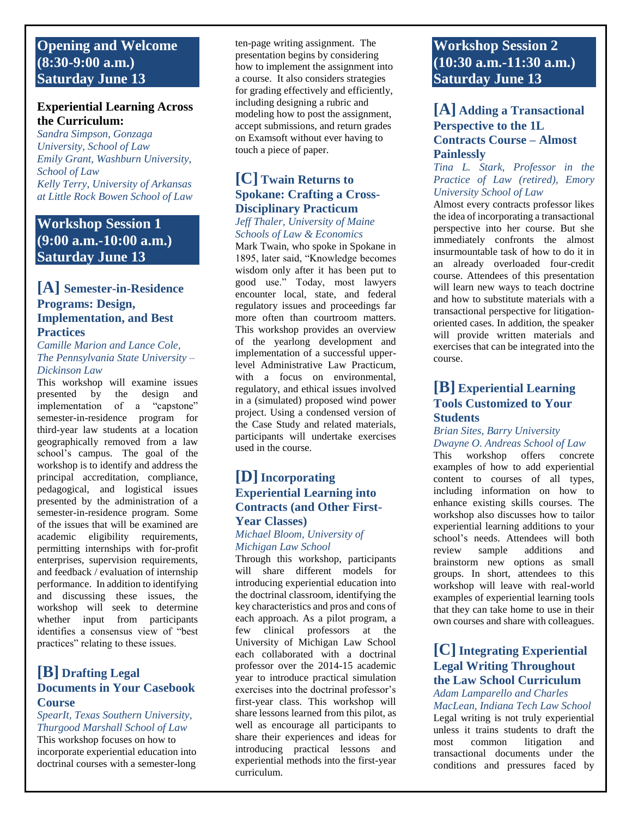## **Opening and Welcome (8:30-9:00 a.m.) Saturday June 13**

### **Experiential Learning Across the Curriculum:**

*Sandra Simpson, Gonzaga University, School of Law Emily Grant, Washburn University, School of Law Kelly Terry, University of Arkansas at Little Rock Bowen School of Law*

## **Workshop Session 1 (9:00 a.m.-10:00 a.m.) Saturday June 13**

### **[A] Semester-in-Residence Programs: Design, Implementation, and Best Practices**

#### *Camille Marion and Lance Cole, The Pennsylvania State University – Dickinson Law*

This workshop will examine issues presented by the design and implementation of a "capstone" semester-in-residence program for third-year law students at a location geographically removed from a law school's campus. The goal of the workshop is to identify and address the principal accreditation, compliance, pedagogical, and logistical issues presented by the administration of a semester-in-residence program. Some of the issues that will be examined are academic eligibility requirements, permitting internships with for-profit enterprises, supervision requirements, and feedback / evaluation of internship performance. In addition to identifying and discussing these issues, the workshop will seek to determine whether input from participants identifies a consensus view of "best practices" relating to these issues.

## **[B] Drafting Legal Documents in Your Casebook Course**

#### *SpearIt, Texas Southern University, Thurgood Marshall School of Law*

This workshop focuses on how to incorporate experiential education into doctrinal courses with a semester-long

ten-page writing assignment. The presentation begins by considering how to implement the assignment into a course. It also considers strategies for grading effectively and efficiently, including designing a rubric and modeling how to post the assignment, accept submissions, and return grades on Examsoft without ever having to touch a piece of paper.

## **[C] Twain Returns to Spokane: Crafting a Cross-Disciplinary Practicum**

#### *Jeff Thaler, University of Maine Schools of Law & Economics*

Mark Twain, who spoke in Spokane in 1895, later said, "Knowledge becomes wisdom only after it has been put to good use." Today, most lawyers encounter local, state, and federal regulatory issues and proceedings far more often than courtroom matters. This workshop provides an overview of the yearlong development and implementation of a successful upperlevel Administrative Law Practicum, with a focus on environmental, regulatory, and ethical issues involved in a (simulated) proposed wind power project. Using a condensed version of the Case Study and related materials, participants will undertake exercises used in the course.

## **[D] Incorporating Experiential Learning into Contracts (and Other First-Year Classes)**

#### *Michael Bloom[, University](https://www.law.umich.edu/Pages/default.aspx) of [Michigan Law School](https://www.law.umich.edu/Pages/default.aspx)*

Through this workshop, participants will share different models for introducing experiential education into the doctrinal classroom, identifying the key characteristics and pros and cons of each approach. As a pilot program, a few clinical professors at the University of Michigan Law School each collaborated with a doctrinal professor over the 2014-15 academic year to introduce practical simulation exercises into the doctrinal professor's first-year class. This workshop will share lessons learned from this pilot, as well as encourage all participants to share their experiences and ideas for introducing practical lessons and experiential methods into the first-year curriculum.

## **Workshop Session 2 (10:30 a.m.-11:30 a.m.) Saturday June 13**

## **[A] Adding a Transactional Perspective to the 1L Contracts Course – Almost Painlessly**

#### *Tina L. Stark, Professor in the Practice of Law (retired), Emory University School of Law*

Almost every contracts professor likes the idea of incorporating a transactional perspective into her course. But she immediately confronts the almost insurmountable task of how to do it in an already overloaded four-credit course. Attendees of this presentation will learn new ways to teach doctrine and how to substitute materials with a transactional perspective for litigationoriented cases. In addition, the speaker will provide written materials and exercises that can be integrated into the course.

## **[B] Experiential Learning Tools Customized to Your Students**

#### *Brian Sites, Barry University Dwayne O. Andreas School of Law*

This workshop offers concrete examples of how to add experiential content to courses of all types, including information on how to enhance existing skills courses. The workshop also discusses how to tailor experiential learning additions to your school's needs. Attendees will both review sample additions and brainstorm new options as small groups. In short, attendees to this workshop will leave with real-world examples of experiential learning tools that they can take home to use in their own courses and share with colleagues.

### **[C] Integrating Experiential Legal Writing Throughout the Law School Curriculum**

# *Adam Lamparello and Charles*

*MacLean, Indiana Tech Law School*  Legal writing is not truly experiential unless it trains students to draft the most common litigation and transactional documents under the conditions and pressures faced by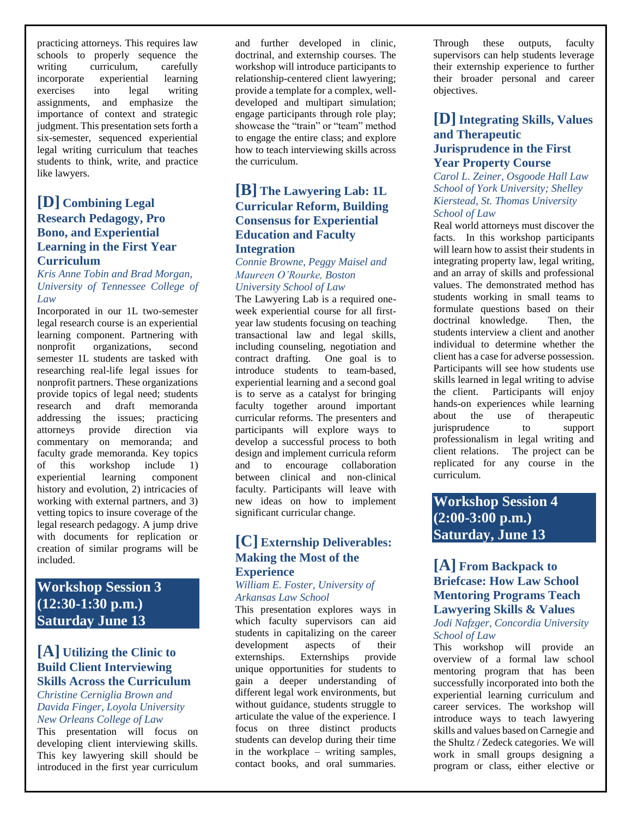practicing attorneys. This requires law schools to properly sequence the writing curriculum, carefully incorporate experiential learning exercises into legal writing assignments, and emphasize the importance of context and strategic judgment. This presentation sets forth a six-semester, sequenced experiential legal writing curriculum that teaches students to think, write, and practice like lawyers.

### **[D] Combining Legal Research Pedagogy, Pro Bono, and Experiential Learning in the First Year Curriculum**

*Kris Anne Tobin and Brad Morgan, University of Tennessee College of Law*

Incorporated in our 1L two-semester legal research course is an experiential learning component. Partnering with nonprofit organizations, second semester 1L students are tasked with researching real-life legal issues for nonprofit partners. These organizations provide topics of legal need; students research and draft memoranda addressing the issues; practicing attorneys provide direction via commentary on memoranda; and faculty grade memoranda. Key topics of this workshop include 1) experiential learning component history and evolution, 2) intricacies of working with external partners, and 3) vetting topics to insure coverage of the legal research pedagogy. A jump drive with documents for replication or creation of similar programs will be included.

## **Workshop Session 3 (12:30-1:30 p.m.) Saturday June 13**

## **[A] Utilizing the Clinic to Build Client Interviewing Skills Across the Curriculum**

#### *Christine Cerniglia Brown and Davida Finger, Loyola University New Orleans College of Law*

This presentation will focus on developing client interviewing skills. This key lawyering skill should be introduced in the first year curriculum

and further developed in clinic, doctrinal, and externship courses. The workshop will introduce participants to relationship-centered client lawyering; provide a template for a complex, welldeveloped and multipart simulation; engage participants through role play; showcase the "train" or "team" method to engage the entire class; and explore how to teach interviewing skills across the curriculum.

### **[B] The Lawyering Lab: 1L Curricular Reform, Building Consensus for Experiential Education and Faculty Integration**

*Connie Browne, Peggy Maisel and Maureen O'Rourke, Boston University School of Law*

The Lawyering Lab is a required oneweek experiential course for all firstyear law students focusing on teaching transactional law and legal skills, including counseling, negotiation and contract drafting. One goal is to introduce students to team-based, experiential learning and a second goal is to serve as a catalyst for bringing faculty together around important curricular reforms. The presenters and participants will explore ways to develop a successful process to both design and implement curricula reform and to encourage collaboration between clinical and non-clinical faculty. Participants will leave with new ideas on how to implement significant curricular change.

## **[C] Externship Deliverables: Making the Most of the Experience**

#### *William E. Foster, University of Arkansas Law School*

This presentation explores ways in which faculty supervisors can aid students in capitalizing on the career development aspects of their externships. Externships provide unique opportunities for students to gain a deeper understanding of different legal work environments, but without guidance, students struggle to articulate the value of the experience. I focus on three distinct products students can develop during their time in the workplace – writing samples, contact books, and oral summaries.

Through these outputs, faculty supervisors can help students leverage their externship experience to further their broader personal and career objectives.

### **[D] Integrating Skills, Values and Therapeutic Jurisprudence in the First Year Property Course**

*Carol L. Zeiner, Osgoode Hall Law School of York University; Shelley Kierstead, St. Thomas University School of Law*

Real world attorneys must discover the facts. In this workshop participants will learn how to assist their students in integrating property law, legal writing, and an array of skills and professional values. The demonstrated method has students working in small teams to formulate questions based on their doctrinal knowledge. Then, the students interview a client and another individual to determine whether the client has a case for adverse possession. Participants will see how students use skills learned in legal writing to advise the client. Participants will enjoy hands-on experiences while learning about the use of therapeutic jurisprudence to support professionalism in legal writing and client relations. The project can be replicated for any course in the curriculum.

## **Workshop Session 4 (2:00-3:00 p.m.) Saturday, June 13**

## **[A] From Backpack to Briefcase: How Law School Mentoring Programs Teach Lawyering Skills & Values**

#### *Jodi Nafzger, Concordia University School of Law*

This workshop will provide an overview of a formal law school mentoring program that has been successfully incorporated into both the experiential learning curriculum and career services. The workshop will introduce ways to teach lawyering skills and values based on Carnegie and the Shultz / Zedeck categories. We will work in small groups designing a program or class, either elective or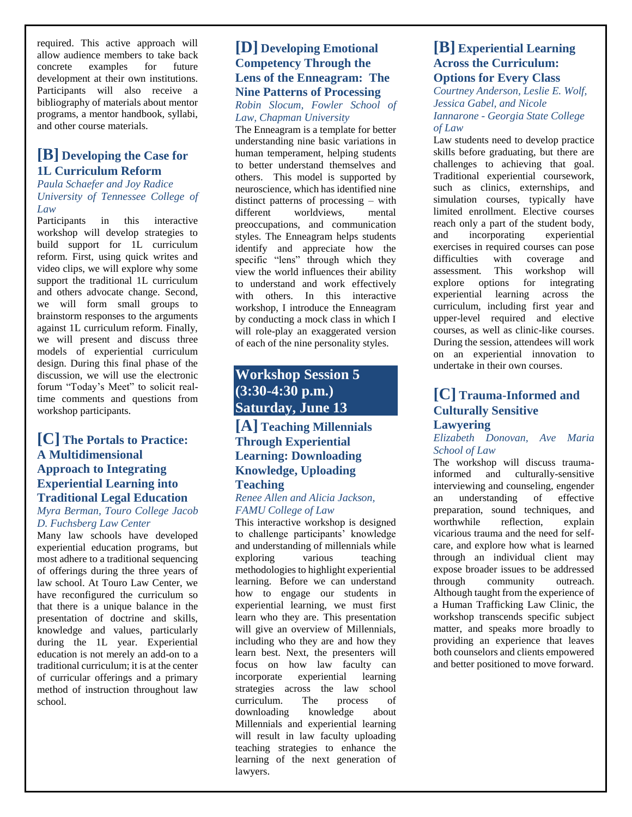required. This active approach will allow audience members to take back concrete examples for future development at their own institutions. Participants will also receive a bibliography of materials about mentor programs, a mentor handbook, syllabi, and other course materials.

## **[B] Developing the Case for 1L Curriculum Reform**

#### *Paula Schaefer and Joy Radice University of Tennessee College of Law*

Participants in this interactive workshop will develop strategies to build support for 1L curriculum reform. First, using quick writes and video clips, we will explore why some support the traditional 1L curriculum and others advocate change. Second, we will form small groups to brainstorm responses to the arguments against 1L curriculum reform. Finally, we will present and discuss three models of experiential curriculum design. During this final phase of the discussion, we will use the electronic forum "Today's Meet" to solicit realtime comments and questions from workshop participants.

## **[C] The Portals to Practice: A Multidimensional Approach to Integrating Experiential Learning into Traditional Legal Education**

#### *Myra Berman, Touro College Jacob D. Fuchsberg Law Center*

Many law schools have developed experiential education programs, but most adhere to a traditional sequencing of offerings during the three years of law school. At Touro Law Center, we have reconfigured the curriculum so that there is a unique balance in the presentation of doctrine and skills, knowledge and values, particularly during the 1L year. Experiential education is not merely an add-on to a traditional curriculum; it is at the center of curricular offerings and a primary method of instruction throughout law school.

## **[D] Developing Emotional Competency Through the Lens of the Enneagram: The Nine Patterns of Processing**

*Robin Slocum, Fowler School of Law, Chapman University* 

The Enneagram is a template for better understanding nine basic variations in human temperament, helping students to better understand themselves and others. This model is supported by neuroscience, which has identified nine distinct patterns of processing – with different worldviews, mental preoccupations, and communication styles. The Enneagram helps students identify and appreciate how the specific "lens" through which they view the world influences their ability to understand and work effectively with others. In this interactive workshop, I introduce the Enneagram by conducting a mock class in which I will role-play an exaggerated version of each of the nine personality styles.

## **Workshop Session 5 (3:30-4:30 p.m.) Saturday, June 13**

### **[A] Teaching Millennials Through Experiential Learning: Downloading Knowledge, Uploading Teaching**

#### *Renee Allen and Alicia Jackson, FAMU College of Law*

This interactive workshop is designed to challenge participants' knowledge and understanding of millennials while exploring various teaching methodologies to highlight experiential learning. Before we can understand how to engage our students in experiential learning, we must first learn who they are. This presentation will give an overview of Millennials, including who they are and how they learn best. Next, the presenters will focus on how law faculty can incorporate experiential learning strategies across the law school curriculum. The process of downloading knowledge about Millennials and experiential learning will result in law faculty uploading teaching strategies to enhance the learning of the next generation of lawyers.

### **[B] Experiential Learning Across the Curriculum: Options for Every Class**

*Courtney Anderson, Leslie E. Wolf, Jessica Gabel, and Nicole Iannarone - Georgia State College of Law* 

Law students need to develop practice skills before graduating, but there are challenges to achieving that goal. Traditional experiential coursework, such as clinics, externships, and simulation courses, typically have limited enrollment. Elective courses reach only a part of the student body, and incorporating experiential exercises in required courses can pose difficulties with coverage and assessment*.* This workshop will explore options for integrating experiential learning across the curriculum, including first year and upper-level required and elective courses, as well as clinic-like courses. During the session, attendees will work on an experiential innovation to undertake in their own courses.

## **[C] Trauma-Informed and Culturally Sensitive Lawyering**

*Elizabeth Donovan, Ave Maria School of Law*

The workshop will discuss traumainformed and culturally-sensitive interviewing and counseling, engender an understanding of effective preparation, sound techniques, and worthwhile reflection, explain vicarious trauma and the need for selfcare, and explore how what is learned through an individual client may expose broader issues to be addressed through community outreach. Although taught from the experience of a Human Trafficking Law Clinic, the workshop transcends specific subject matter, and speaks more broadly to providing an experience that leaves both counselors and clients empowered and better positioned to move forward.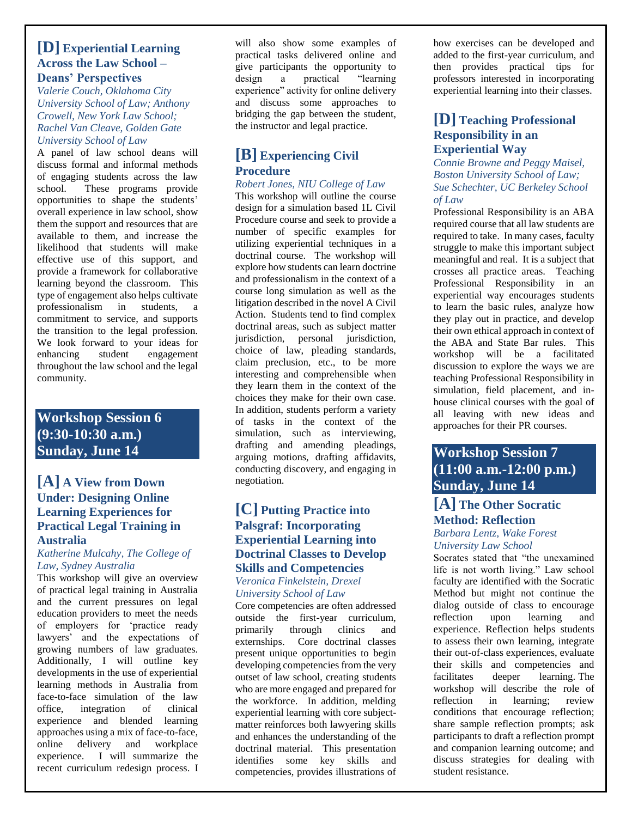### **[D] Experiential Learning Across the Law School – Deans' Perspectives**

*Valerie Couch, Oklahoma City University School of Law; Anthony Crowell, New York Law School; Rachel Van Cleave, Golden Gate University School of Law*

A panel of law school deans will discuss formal and informal methods of engaging students across the law school. These programs provide opportunities to shape the students' overall experience in law school, show them the support and resources that are available to them, and increase the likelihood that students will make effective use of this support, and provide a framework for collaborative learning beyond the classroom. This type of engagement also helps cultivate professionalism in students, a commitment to service, and supports the transition to the legal profession. We look forward to your ideas for enhancing student engagement throughout the law school and the legal community.

## **Workshop Session 6 (9:30-10:30 a.m.) Sunday, June 14**

### **[A] A View from Down Under: Designing Online Learning Experiences for Practical Legal Training in Australia**

#### *Katherine Mulcahy, The College of Law, Sydney Australia*

This workshop will give an overview of practical legal training in Australia and the current pressures on legal education providers to meet the needs of employers for 'practice ready lawyers' and the expectations of growing numbers of law graduates. Additionally, I will outline key developments in the use of experiential learning methods in Australia from face-to-face simulation of the law office, integration of clinical experience and blended learning approaches using a mix of face-to-face, online delivery and workplace experience. I will summarize the recent curriculum redesign process. I

will also show some examples of practical tasks delivered online and give participants the opportunity to design a practical "learning experience" activity for online delivery and discuss some approaches to bridging the gap between the student, the instructor and legal practice.

## **[B] Experiencing Civil Procedure**

#### *Robert Jones, NIU College of Law*

This workshop will outline the course design for a simulation based 1L Civil Procedure course and seek to provide a number of specific examples for utilizing experiential techniques in a doctrinal course. The workshop will explore how students can learn doctrine and professionalism in the context of a course long simulation as well as the litigation described in the novel A Civil Action. Students tend to find complex doctrinal areas, such as subject matter jurisdiction, personal jurisdiction, choice of law, pleading standards, claim preclusion, etc., to be more interesting and comprehensible when they learn them in the context of the choices they make for their own case. In addition, students perform a variety of tasks in the context of the simulation, such as interviewing, drafting and amending pleadings, arguing motions, drafting affidavits, conducting discovery, and engaging in negotiation.

## **[C] Putting Practice into Palsgraf: Incorporating Experiential Learning into Doctrinal Classes to Develop Skills and Competencies**

*Veronica Finkelstein, Drexel University School of Law*

Core competencies are often addressed outside the first-year curriculum, primarily through clinics and externships. Core doctrinal classes present unique opportunities to begin developing competencies from the very outset of law school, creating students who are more engaged and prepared for the workforce. In addition, melding experiential learning with core subjectmatter reinforces both lawyering skills and enhances the understanding of the doctrinal material. This presentation identifies some key skills and competencies, provides illustrations of

how exercises can be developed and added to the first-year curriculum, and then provides practical tips for professors interested in incorporating experiential learning into their classes.

## **[D] Teaching Professional Responsibility in an Experiential Way**

*Connie Browne and Peggy Maisel, Boston University School of Law; Sue Schechter, UC Berkeley School of Law*

Professional Responsibility is an ABA required course that all law students are required to take. In many cases, faculty struggle to make this important subject meaningful and real. It is a subject that crosses all practice areas. Teaching Professional Responsibility in an experiential way encourages students to learn the basic rules, analyze how they play out in practice, and develop their own ethical approach in context of the ABA and State Bar rules. This workshop will be a facilitated discussion to explore the ways we are teaching Professional Responsibility in simulation, field placement, and inhouse clinical courses with the goal of all leaving with new ideas and approaches for their PR courses.

## **Workshop Session 7 (11:00 a.m.-12:00 p.m.) Sunday, June 14**

## **[A] The Other Socratic Method: Reflection**

#### *Barbara Lentz, Wake Forest University Law School*

Socrates stated that "the unexamined life is not worth living." Law school faculty are identified with the Socratic Method but might not continue the dialog outside of class to encourage reflection upon learning and experience. Reflection helps students to assess their own learning, integrate their out-of-class experiences, evaluate their skills and competencies and facilitates deeper learning. The workshop will describe the role of reflection in learning; review conditions that encourage reflection; share sample reflection prompts; ask participants to draft a reflection prompt and companion learning outcome; and discuss strategies for dealing with student resistance.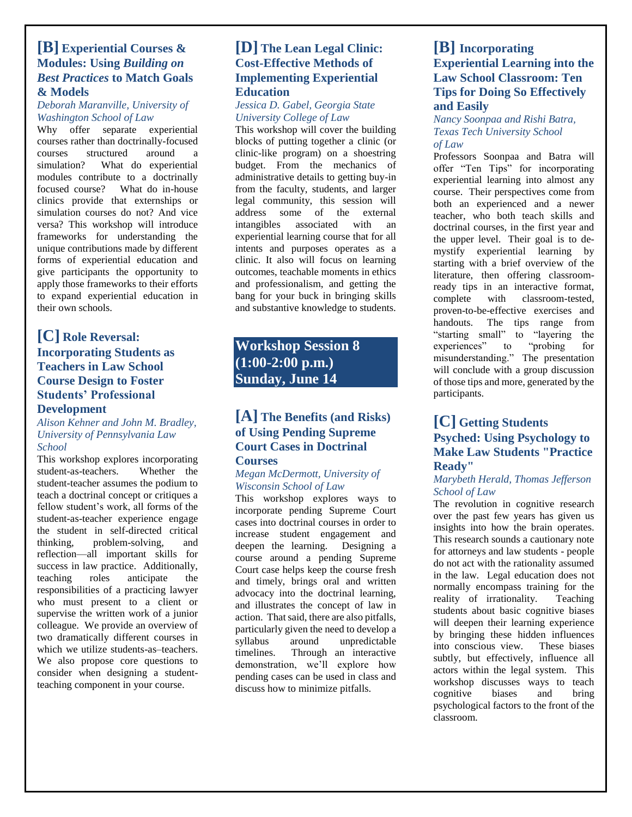### **[B] Experiential Courses & Modules: Using** *Building on Best Practices* **to Match Goals & Models**

#### *Deborah Maranville, University of Washington School of Law*

Why offer separate experiential courses rather than doctrinally-focused courses structured around a simulation? What do experiential modules contribute to a doctrinally focused course? What do in-house clinics provide that externships or simulation courses do not? And vice versa? This workshop will introduce frameworks for understanding the unique contributions made by different forms of experiential education and give participants the opportunity to apply those frameworks to their efforts to expand experiential education in their own schools.

## **[C] Role Reversal: Incorporating Students as Teachers in Law School Course Design to Foster Students' Professional Development**

#### *Alison Kehner and John M. Bradley, University of Pennsylvania Law School*

This workshop explores incorporating student-as-teachers. Whether the student-teacher assumes the podium to teach a doctrinal concept or critiques a fellow student's work, all forms of the student-as-teacher experience engage the student in self-directed critical thinking, problem-solving, and reflection—all important skills for success in law practice. Additionally, teaching roles anticipate the responsibilities of a practicing lawyer who must present to a client or supervise the written work of a junior colleague. We provide an overview of two dramatically different courses in which we utilize students-as–teachers. We also propose core questions to consider when designing a studentteaching component in your course.

## **[D] The Lean Legal Clinic: Cost-Effective Methods of Implementing Experiential Education**

#### *Jessica D. Gabel, Georgia State University College of Law*

This workshop will cover the building blocks of putting together a clinic (or clinic-like program) on a shoestring budget. From the mechanics of administrative details to getting buy-in from the faculty, students, and larger legal community, this session will address some of the external intangibles associated with an experiential learning course that for all intents and purposes operates as a clinic. It also will focus on learning outcomes, teachable moments in ethics and professionalism, and getting the bang for your buck in bringing skills and substantive knowledge to students.

## **Workshop Session 8 (1:00-2:00 p.m.) Sunday, June 14**

## **[A] The Benefits (and Risks) of Using Pending Supreme Court Cases in Doctrinal**

#### **Courses**

#### *Megan McDermott, University of Wisconsin School of Law*

This workshop explores ways to incorporate pending Supreme Court cases into doctrinal courses in order to increase student engagement and deepen the learning. Designing a course around a pending Supreme Court case helps keep the course fresh and timely, brings oral and written advocacy into the doctrinal learning, and illustrates the concept of law in action. That said, there are also pitfalls, particularly given the need to develop a syllabus around unpredictable timelines. Through an interactive demonstration, we'll explore how pending cases can be used in class and discuss how to minimize pitfalls.

## **[B] Incorporating Experiential Learning into the Law School Classroom: Ten Tips for Doing So Effectively and Easily**

*Nancy Soonpaa and Rishi Batra, Texas Tech University School of Law*

Professors Soonpaa and Batra will offer "Ten Tips" for incorporating experiential learning into almost any course. Their perspectives come from both an experienced and a newer teacher, who both teach skills and doctrinal courses, in the first year and the upper level. Their goal is to demystify experiential learning by starting with a brief overview of the literature, then offering classroomready tips in an interactive format, complete with classroom-tested, proven-to-be-effective exercises and handouts. The tips range from "starting small" to "layering the experiences" to "probing for experiences" to "probing for misunderstanding." The presentation will conclude with a group discussion of those tips and more, generated by the participants.

## **[C] Getting Students Psyched: Using Psychology to Make Law Students "Practice Ready"**

#### *Marybeth Herald, Thomas Jefferson School of Law*

The revolution in cognitive research over the past few years has given us insights into how the brain operates. This research sounds a cautionary note for attorneys and law students - people do not act with the rationality assumed in the law. Legal education does not normally encompass training for the reality of irrationality. Teaching students about basic cognitive biases will deepen their learning experience by bringing these hidden influences into conscious view. These biases subtly, but effectively, influence all actors within the legal system. This workshop discusses ways to teach cognitive biases and bring psychological factors to the front of the classroom.